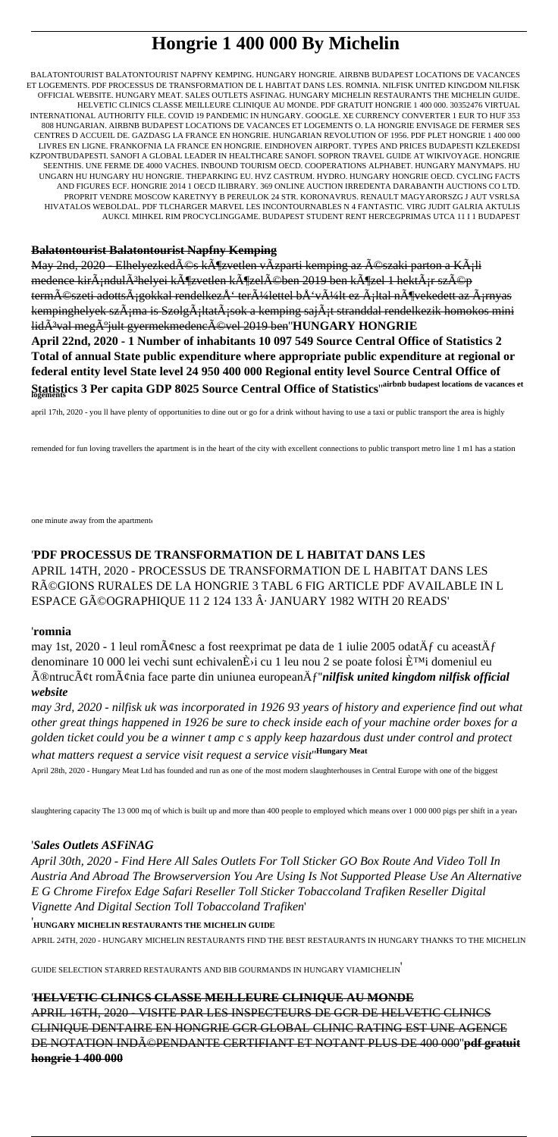# **Hongrie 1 400 000 By Michelin**

BALATONTOURIST BALATONTOURIST NAPFNY KEMPING. HUNGARY HONGRIE. AIRBNB BUDAPEST LOCATIONS DE VACANCES ET LOGEMENTS. PDF PROCESSUS DE TRANSFORMATION DE L HABITAT DANS LES. ROMNIA. NILFISK UNITED KINGDOM NILFISK OFFICIAL WEBSITE. HUNGARY MEAT. SALES OUTLETS ASFINAG. HUNGARY MICHELIN RESTAURANTS THE MICHELIN GUIDE. HELVETIC CLINICS CLASSE MEILLEURE CLINIQUE AU MONDE. PDF GRATUIT HONGRIE 1 400 000. 30352476 VIRTUAL INTERNATIONAL AUTHORITY FILE. COVID 19 PANDEMIC IN HUNGARY. GOOGLE. XE CURRENCY CONVERTER 1 EUR TO HUF 353 808 HUNGARIAN. AIRBNB BUDAPEST LOCATIONS DE VACANCES ET LOGEMENTS O. LA HONGRIE ENVISAGE DE FERMER SES CENTRES D ACCUEIL DE. GAZDASG LA FRANCE EN HONGRIE. HUNGARIAN REVOLUTION OF 1956. PDF PLET HONGRIE 1 400 000 LIVRES EN LIGNE. FRANKOFNIA LA FRANCE EN HONGRIE. EINDHOVEN AIRPORT. TYPES AND PRICES BUDAPESTI KZLEKEDSI KZPONTBUDAPESTI. SANOFI A GLOBAL LEADER IN HEALTHCARE SANOFI. SOPRON TRAVEL GUIDE AT WIKIVOYAGE. HONGRIE SEENTHIS. UNE FERME DE 4000 VACHES. INBOUND TOURISM OECD. COOPERATIONS ALPHABET. HUNGARY MANYMAPS. HU UNGARN HU HUNGARY HU HONGRIE. THEPARKING EU. HVZ CASTRUM. HYDRO. HUNGARY HONGRIE OECD. CYCLING FACTS AND FIGURES ECF. HONGRIE 2014 1 OECD ILIBRARY. 369 ONLINE AUCTION IRREDENTA DARABANTH AUCTIONS CO LTD. PROPRIT VENDRE MOSCOW KARETNYY B PEREULOK 24 STR. KORONAVRUS. RENAULT MAGYARORSZG J AUT VSRLSA HIVATALOS WEBOLDAL. PDF TLCHARGER MARVEL LES INCONTOURNABLES N 4 FANTASTIC. VIRG JUDIT GALRIA AKTULIS AUKCI. MIHKEL RIM PROCYCLINGGAME. BUDAPEST STUDENT RENT HERCEGPRIMAS UTCA 11 I 1 BUDAPEST

### **Balatontourist Balatontourist Napfny Kemping**

May <del>2nd, 2020 - Elhelyezkedés közvetlen vÃzparti kemping az északi parton a Káli</del> medence kir $\tilde{A}$ ;ndul $\tilde{A}$ <sup>3</sup>helyei k $\tilde{A}$ ¶zvetlen k $\tilde{A}$ ¶zel $\tilde{A}$ ©ben 2019 ben k $\tilde{A}$ ¶zel 1 hekt $\tilde{A}$ ;r sz $\tilde{A}$ ©p természeti adottsÃ;gokkal rendelkezÅ' területtel bÅ'vült ez Ã;ltal növekedett az Ã;rnyas kempinghelyek szÁ¡ma is SzolgÁ¡ltatÁ¡sok a kemping sajÁ¡t stranddal rendelkezik homokos mini lid<sub>A</sub><sup>3</sup>val meg<sub>A</sub><sup>o</sup>jult gyermekmedencA©vel 2019 ben''HUNGARY HONGRIE **April 22nd, 2020 - 1 Number of inhabitants 10 097 549 Source Central Office of Statistics 2**

**Total of annual State public expenditure where appropriate public expenditure at regional or federal entity level State level 24 950 400 000 Regional entity level Source Central Office of Statistics 3 Per capita GDP 8025 Source Central Office of Statistics**''**airbnb budapest locations de vacances et logements**

april 17th, 2020 - you ll have plenty of opportunities to dine out or go for a drink without having to use a taxi or public transport the area is highly

remended for fun loving travellers the apartment is in the heart of the city with excellent connections to public transport metro line 1 m1 has a station

one minute away from the apartment'

### '**PDF PROCESSUS DE TRANSFORMATION DE L HABITAT DANS LES** APRIL 14TH, 2020 - PROCESSUS DE TRANSFORMATION DE L HABITAT DANS LES RéGIONS RURALES DE LA HONGRIE 3 TABL 6 FIG ARTICLE PDF AVAILABLE IN L ESPACE GéOGRAPHIQUE 11 2 124 133 · JANUARY 1982 WITH 20 READS'

#### '**romnia**

may 1st, 2020 - 1 leul rom $\tilde{A}$ ¢nesc a fost reexprimat pe data de 1 iulie 2005 odat $\tilde{A}$ f cu aceast $\tilde{A}$ f denominare 10 000 lei vechi sunt echivalen $\dot{E}$ i cu 1 leu nou 2 se poate folosi  $\dot{E}^{TM}$ i domeniul eu întrucât românia face parte din uniunea europeană''*nilfisk united kingdom nilfisk official website*

*may 3rd, 2020 - nilfisk uk was incorporated in 1926 93 years of history and experience find out what other great things happened in 1926 be sure to check inside each of your machine order boxes for a golden ticket could you be a winner t amp c s apply keep hazardous dust under control and protect what matters request a service visit request a service visit*''**Hungary Meat**

April 28th, 2020 - Hungary Meat Ltd has founded and run as one of the most modern slaughterhouses in Central Europe with one of the biggest

slaughtering capacity The 13 000 mq of which is built up and more than 400 people to employed which means over 1 000 000 pigs per shift in a year

### '*Sales Outlets ASFiNAG*

*April 30th, 2020 - Find Here All Sales Outlets For Toll Sticker GO Box Route And Video Toll In Austria And Abroad The Browserversion You Are Using Is Not Supported Please Use An Alternative E G Chrome Firefox Edge Safari Reseller Toll Sticker Tobaccoland Trafiken Reseller Digital Vignette And Digital Section Toll Tobaccoland Trafiken*'

### '**HUNGARY MICHELIN RESTAURANTS THE MICHELIN GUIDE**

APRIL 24TH, 2020 - HUNGARY MICHELIN RESTAURANTS FIND THE BEST RESTAURANTS IN HUNGARY THANKS TO THE MICHELIN

GUIDE SELECTION STARRED RESTAURANTS AND BIB GOURMANDS IN HUNGARY VIAMICHELIN'

### '**HELVETIC CLINICS CLASSE MEILLEURE CLINIQUE AU MONDE**

APRIL 16TH, 2020 - VISITE PAR LES INSPECTEURS DE GCR DE HELVETIC CLINICS CLINIQUE DENTAIRE EN HONGRIE GCR GLOBAL CLINIC RATING EST UNE AGENCE DE NOTATION INDéPENDANTE CERTIFIANT ET NOTANT PLUS DE 400 000''**pdf gratuit hongrie 1 400 000**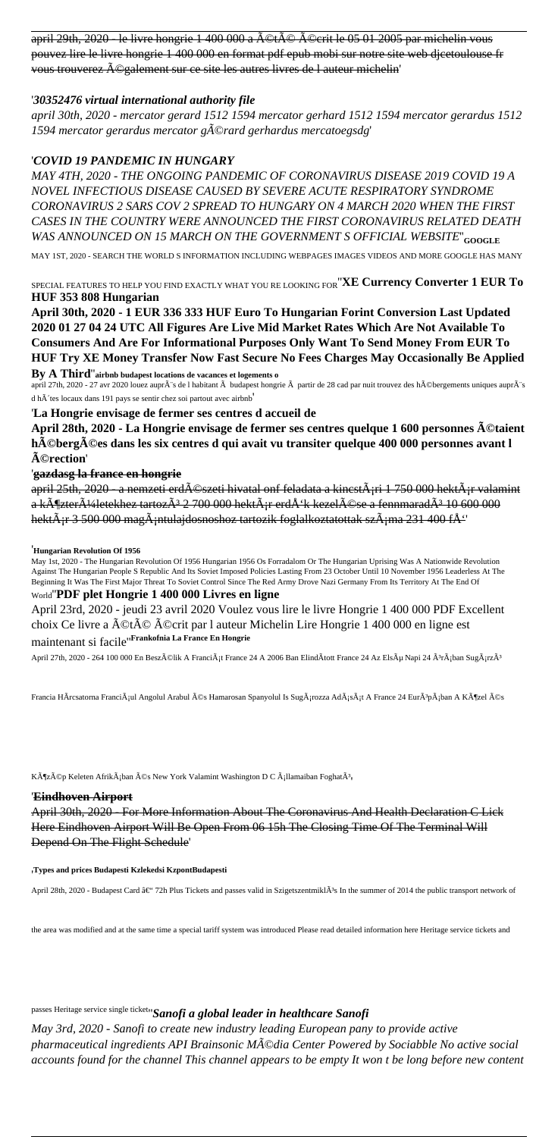april 29th, 2020 - le livre hongrie 1 400 000 a ©té ©crit le 05 01 2005 par michelin vous pouvez lire le livre hongrie 1 400 000 en format pdf epub mobi sur notre site web djcetoulouse fr vous trouverez ©galement sur ce site les autres livres de l auteur michelin'

### '*30352476 virtual international authority file*

*april 30th, 2020 - mercator gerard 1512 1594 mercator gerhard 1512 1594 mercator gerardus 1512 1594 mercator gerardus mercator gérard gerhardus mercatoegsdg*'

### '*COVID 19 PANDEMIC IN HUNGARY*

*MAY 4TH, 2020 - THE ONGOING PANDEMIC OF CORONAVIRUS DISEASE 2019 COVID 19 A NOVEL INFECTIOUS DISEASE CAUSED BY SEVERE ACUTE RESPIRATORY SYNDROME CORONAVIRUS 2 SARS COV 2 SPREAD TO HUNGARY ON 4 MARCH 2020 WHEN THE FIRST CASES IN THE COUNTRY WERE ANNOUNCED THE FIRST CORONAVIRUS RELATED DEATH WAS ANNOUNCED ON 15 MARCH ON THE GOVERNMENT S OFFICIAL WEBSITE*''**GOOGLE**

MAY 1ST, 2020 - SEARCH THE WORLD S INFORMATION INCLUDING WEBPAGES IMAGES VIDEOS AND MORE GOOGLE HAS MANY

SPECIAL FEATURES TO HELP YOU FIND EXACTLY WHAT YOU RE LOOKING FOR''**XE Currency Converter 1 EUR To HUF 353 808 Hungarian**

**April 30th, 2020 - 1 EUR 336 333 HUF Euro To Hungarian Forint Conversion Last Updated 2020 01 27 04 24 UTC All Figures Are Live Mid Market Rates Which Are Not Available To Consumers And Are For Informational Purposes Only Want To Send Money From EUR To HUF Try XE Money Transfer Now Fast Secure No Fees Charges May Occasionally Be Applied By A Third**''**airbnb budapest locations de vacances et logements o**

april 27th, 2020 - 27 avr 2020 louez aupr $\tilde{A}$ 's de l habitant  $\tilde{A}$  budapest hongrie  $\tilde{A}$  partir de 28 cad par nuit trouvez des h $\tilde{A}$ ©bergements uniques aupr $\tilde{A}$ 's d h 'tes locaux dans 191 pays se sentir chez soi partout avec airbnb'

'**La Hongrie envisage de fermer ses centres d accueil de**

**April 28th, 2020 - La Hongrie envisage de fermer ses centres quelque 1 600 personnes étaient** hébergées dans les six centres d qui avait vu transiter quelque 400 000 personnes avant l  $\tilde{A}$ ©rection'

### '**gazdasg la france en hongrie**

april 25th, 2020 - a nemzeti erd $\widehat{A}$ Oszeti hivatal onf feladata a kincst $\widehat{A}$ ; ri $\widehat{A}$  1 750 000 hekt $\widehat{A}$ ; r valamint a k $\tilde{A}$ ¶zter $\tilde{A}$ ¼letekhez tartoz $\tilde{A}$ <sup>3</sup> 2 700 000 hekt $\tilde{A}$ <sub>i</sub>r erd $\tilde{A}$ <sup>t</sup>k kezel $\tilde{A}$ ©se a fennmarad $\tilde{A}$ <sup>3</sup> 10 600 000 hekt $\tilde{A}$ ir 3 500 000 mag $\tilde{A}$ intulajdosnoshoz tartozik foglalkoztatottak sz $\tilde{A}$ ima 231 400 f $\AA$ <sup>\*</sup>

#### '**Hungarian Revolution Of 1956**

May 1st, 2020 - The Hungarian Revolution Of 1956 Hungarian 1956 Os Forradalom Or The Hungarian Uprising Was A Nationwide Revolution Against The Hungarian People S Republic And Its Soviet Imposed Policies Lasting From 23 October Until 10 November 1956 Leaderless At The Beginning It Was The First Major Threat To Soviet Control Since The Red Army Drove Nazi Germany From Its Territory At The End Of World''**PDF plet Hongrie 1 400 000 Livres en ligne**

April 23rd, 2020 - jeudi 23 avril 2020 Voulez vous lire le livre Hongrie 1 400 000 PDF Excellent choix Ce livre a été écrit par l auteur Michelin Lire Hongrie 1 400 000 en ligne est maintenant si facile''**Frankofnia La France En Hongrie**

April 27th, 2020 - 264 100 000 En Beszélik A FranciÃ<sub>i</sub>t France 24 A 2006 Ban ElindÃtott France 24 Az Elsõ Napi 24 êrában SugárzÃ<sup>3</sup>

Francia HÃrcsatorna FranciÂ<sub>i</sub>ul Angolul Arabul és Hamarosan Spanyolul Is SugÃ<sub>i</sub>rozza AdÃ<sub>i</sub>sÃ<sub>i</sub>t A France 24 EurÃ<sup>3</sup>pÃ<sub>i</sub>ban A Közel és

Közép Keleten Afrikában és New York Valamint Washington D C ¡llamaiban FoghatÃ<sup>3</sup>,

#### '**Eindhoven Airport**

April 30th, 2020 - For More Information About The Coronavirus And Health Declaration C Lick Here Eindhoven Airport Will Be Open From 06 15h The Closing Time Of The Terminal Will Depend On The Flight Schedule'

#### '**Types and prices Budapesti Kzlekedsi KzpontBudapesti**

April 28th, 2020 - Budapest Card – 72h Plus Tickets and passes valid in SzigetszentmiklÃ<sup>3</sup>s In the summer of 2014 the public transport network of

the area was modified and at the same time a special tariff system was introduced Please read detailed information here Heritage service tickets and

passes Heritage service single ticket''*Sanofi a global leader in healthcare Sanofi*

*May 3rd, 2020 - Sanofi to create new industry leading European pany to provide active pharmaceutical ingredients API Brainsonic Média Center Powered by Sociabble No active social accounts found for the channel This channel appears to be empty It won t be long before new content*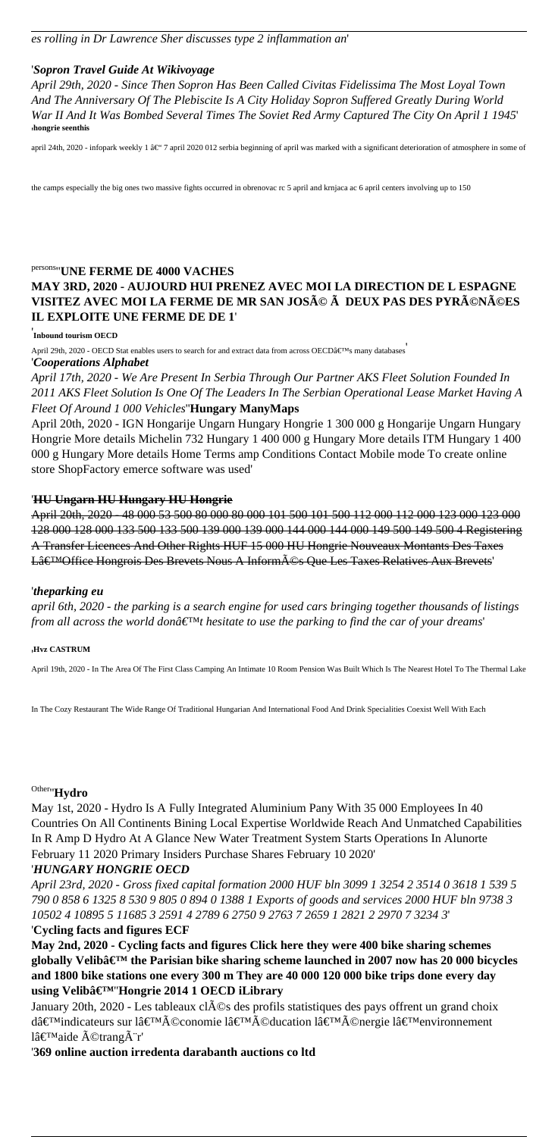### '*Sopron Travel Guide At Wikivoyage*

*April 29th, 2020 - Since Then Sopron Has Been Called Civitas Fidelissima The Most Loyal Town And The Anniversary Of The Plebiscite Is A City Holiday Sopron Suffered Greatly During World War II And It Was Bombed Several Times The Soviet Red Army Captured The City On April 1 1945*' '**hongrie seenthis**

april 24th, 2020 - infopark weekly 1 â $\mathfrak{E}^{\omega}$  7 april 2020 012 serbia beginning of april was marked with a significant deterioration of atmosphere in some of

the camps especially the big ones two massive fights occurred in obrenovac rc 5 april and krnjaca ac 6 april centers involving up to 150

### persons''**UNE FERME DE 4000 VACHES MAY 3RD, 2020 - AUJOURD HUI PRENEZ AVEC MOI LA DIRECTION DE L ESPAGNE VISITEZ AVEC MOI LA FERME DE MR SAN JOSé à DEUX PAS DES PYRéNéES IL EXPLOITE UNE FERME DE DE 1**'

### ' **Inbound tourism OECD**

April 29th, 2020 - OECD Stat enables users to search for and extract data from across OECD's many databases '*Cooperations Alphabet*

*April 17th, 2020 - We Are Present In Serbia Through Our Partner AKS Fleet Solution Founded In 2011 AKS Fleet Solution Is One Of The Leaders In The Serbian Operational Lease Market Having A Fleet Of Around 1 000 Vehicles*''**Hungary ManyMaps**

April 20th, 2020 - IGN Hongarije Ungarn Hungary Hongrie 1 300 000 g Hongarije Ungarn Hungary Hongrie More details Michelin 732 Hungary 1 400 000 g Hungary More details ITM Hungary 1 400 000 g Hungary More details Home Terms amp Conditions Contact Mobile mode To create online store ShopFactory emerce software was used'

#### '**HU Ungarn HU Hungary HU Hongrie**

April 20th, 2020 - 48 000 53 500 80 000 80 000 101 500 101 500 112 000 112 000 123 000 123 000 128 000 128 000 133 500 133 500 139 000 139 000 144 000 144 000 149 500 149 500 4 Registering A Transfer Licences And Other Rights HUF 15 000 HU Hongrie Nouveaux Montants Des Taxes Lâ€<sup>™</sup>Office Hongrois Des Brevets Nous A Informés Que Les Taxes Relatives Aux Brevets'

#### '*theparking eu*

*april 6th, 2020 - the parking is a search engine for used cars bringing together thousands of listings from all across the world donâ€*<sup>™</sup>*t hesitate to use the parking to find the car of your dreams'* 

#### '**Hvz CASTRUM**

April 19th, 2020 - In The Area Of The First Class Camping An Intimate 10 Room Pension Was Built Which Is The Nearest Hotel To The Thermal Lake

In The Cozy Restaurant The Wide Range Of Traditional Hungarian And International Food And Drink Specialities Coexist Well With Each

## Other''**Hydro**

May 1st, 2020 - Hydro Is A Fully Integrated Aluminium Pany With 35 000 Employees In 40 Countries On All Continents Bining Local Expertise Worldwide Reach And Unmatched Capabilities In R Amp D Hydro At A Glance New Water Treatment System Starts Operations In Alunorte February 11 2020 Primary Insiders Purchase Shares February 10 2020'

#### '*HUNGARY HONGRIE OECD*

*April 23rd, 2020 - Gross fixed capital formation 2000 HUF bln 3099 1 3254 2 3514 0 3618 1 539 5 790 0 858 6 1325 8 530 9 805 0 894 0 1388 1 Exports of goods and services 2000 HUF bln 9738 3 10502 4 10895 5 11685 3 2591 4 2789 6 2750 9 2763 7 2659 1 2821 2 2970 7 3234 3*' '**Cycling facts and figures ECF**

**May 2nd, 2020 - Cycling facts and figures Click here they were 400 bike sharing schemes** globally Velibâ€<sup>™</sup> the Parisian bike sharing scheme launched in 2007 now has 20 000 bicycles **and 1800 bike stations one every 300 m They are 40 000 120 000 bike trips done every day using Velib'**''**Hongrie 2014 1 OECD iLibrary**

January 20th, 2020 - Les tableaux clés des profils statistiques des pays offrent un grand choix d'indicateurs sur l'économie l'éducation l'énergie l'environnement  $l\hat{a} \in T^M$ aide  $\tilde{A}$ ©trang $\tilde{A}$ ''r'

'**369 online auction irredenta darabanth auctions co ltd**